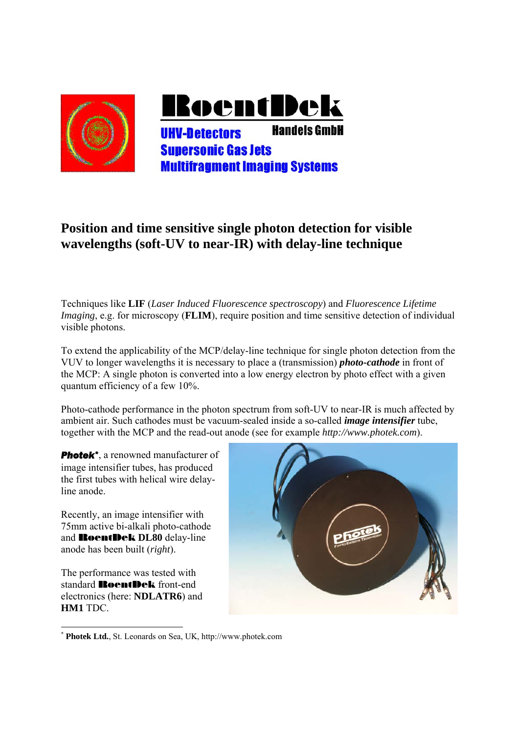

## **Position and time sensitive single photon detection for visible wavelengths (soft-UV to near-IR) with delay-line technique**

Techniques like **LIF** (*Laser Induced Fluorescence spectroscopy*) and *Fluorescence Lifetime Imaging*, e.g. for microscopy (**FLIM**), require position and time sensitive detection of individual visible photons.

To extend the applicability of the MCP/delay-line technique for single photon detection from the VUV to longer wavelengths it is necessary to place a (transmission) *photo-cathode* in front of the MCP: A single photon is converted into a low energy electron by photo effect with a given quantum efficiency of a few 10%.

Photo-cathode performance in the photon spectrum from soft-UV to near-IR is much affected by ambient air. Such cathodes must be vacuum-sealed inside a so-called *image intensifier* tube, together with the MCP and the read-out anode (see for example *http://www.photek.com*).

**Photek<sup>\*</sup>**, a renowned manufacturer of image intensifier tubes, has produced the first tubes with helical wire delayline anode.

Recently, an image intensifier with 75mm active bi-alkali photo-cathode and RoentDek **DL80** delay-line anode has been built (*right*).

The performance was tested with standard **RoentDek** front-end electronics (here: **NDLATR6**) and **HM1** TDC.



<sup>1</sup> \* **Photek Ltd.**, St. Leonards on Sea, UK, http://www.photek.com